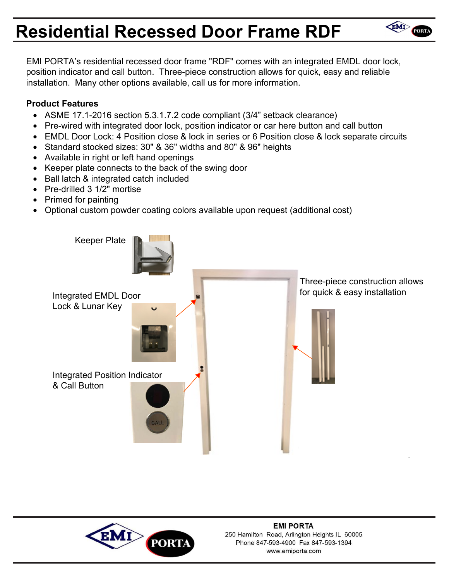# **Residential Recessed Door Frame RDF**

EMI PORTA's residential recessed door frame "RDF" comes with an integrated EMDL door lock, position indicator and call button. Three-piece construction allows for quick, easy and reliable installation. Many other options available, call us for more information.

EMI PORT

### **Product Features**

- ASME 17.1-2016 section 5.3.1.7.2 code compliant (3/4" setback clearance)
- Pre-wired with integrated door lock, position indicator or car here button and call button
- EMDL Door Lock: 4 Position close & lock in series or 6 Position close & lock separate circuits
- Standard stocked sizes: 30" & 36" widths and 80" & 96" heights
- Available in right or left hand openings
- Keeper plate connects to the back of the swing door
- Ball latch & integrated catch included
- Pre-drilled 3 1/2" mortise
- Primed for painting
- Optional custom powder coating colors available upon request (additional cost)



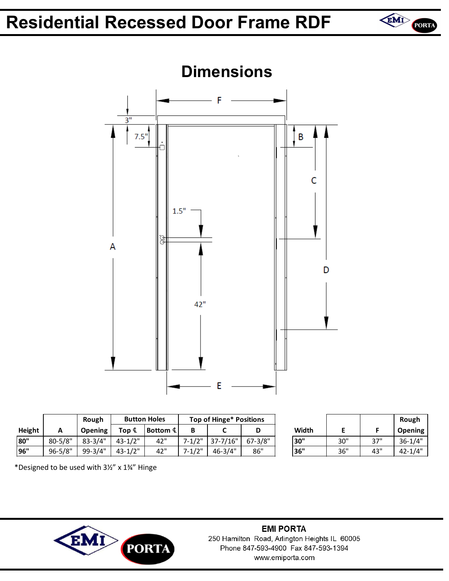## **Residential Recessed Door Frame RDF**





|               |             | Rough          |                   | <b>Button Holes</b> | <b>Top of Hinge* Positions</b> |             |             |       |     |     | Rough       |
|---------------|-------------|----------------|-------------------|---------------------|--------------------------------|-------------|-------------|-------|-----|-----|-------------|
| <b>Height</b> | <u>r</u>    | <b>Opening</b> | Top $\mathfrak c$ | Bottom $4$          |                                |             | м           | Width |     |     | Opening     |
| 80"           | $80 - 5/8"$ | $83 - 3/4"$    | $43 - 1/2"$       | 42"                 | $7 - 1/2"$                     | 37-7/16"    | $67 - 3/8"$ | 30"   | 30" | 37" | $36 - 1/4"$ |
| 96"           | $96 - 5/8"$ | 99-3/4"        | $43 - 1/2"$       | 42"                 | $7 - 1/2"$                     | $46 - 3/4"$ | 86"         | 36"   | 36" | 43" | $42 - 1/4"$ |

|       |     |     | Rough          |  |
|-------|-----|-----|----------------|--|
| Width |     |     | <b>Opening</b> |  |
| 30"   | 30" | 37" | $36 - 1/4"$    |  |
| 36"   | 36" | 43" | $42 - 1/4"$    |  |

\*Designed to be used with 3½" x 1¾" Hinge



#### **EMI PORTA** 250 Hamilton Road, Arlington Heights IL 60005 Phone 847-593-4900 Fax 847-593-1394 www.emiporta.com